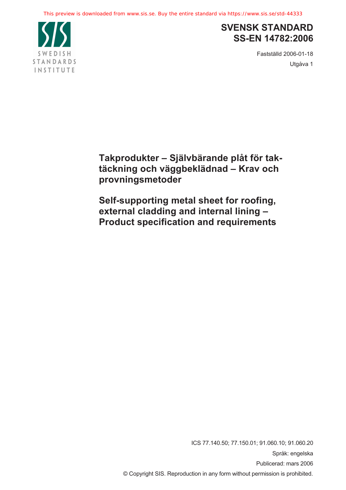

# **SVENSK STANDARD SS-EN 14782:2006**

Fastställd 2006-01-18 Utgåva 1

**Takprodukter – Självbärande plåt för taktäckning och väggbeklädnad – Krav och provningsmetoder** 

**Self-supporting metal sheet for roofing, external cladding and internal lining – Product specification and requirements** 

> ICS 77.140.50; 77.150.01; 91.060.10; 91.060.20 Språk: engelska Publicerad: mars 2006 © Copyright SIS. Reproduction in any form without permission is prohibited.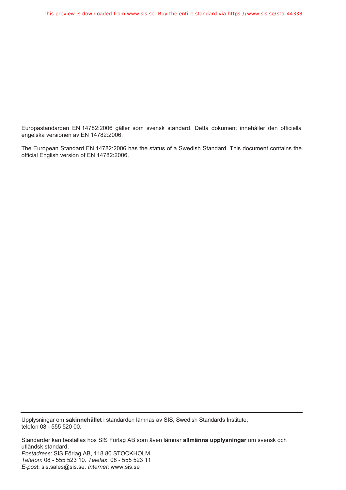Europastandarden EN 14782:2006 gäller som svensk standard. Detta dokument innehåller den officiella engelska versionen av EN 14782:2006.

The European Standard EN 14782:2006 has the status of a Swedish Standard. This document contains the official English version of EN 14782:2006.

Upplysningar om **sakinnehållet** i standarden lämnas av SIS, Swedish Standards Institute, telefon 08 - 555 520 00.

Standarder kan beställas hos SIS Förlag AB som även lämnar **allmänna upplysningar** om svensk och utländsk standard. *Postadress*: SIS Förlag AB, 118 80 STOCKHOLM *Telefon*: 08 - 555 523 10. *Telefax*: 08 - 555 523 11 *E-post*: sis.sales@sis.se. *Internet*: www.sis.se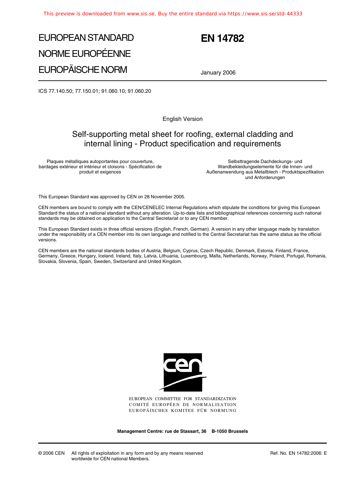# EUROPEAN STANDARD NORME EUROPÉENNE EUROPÄISCHE NORM



January 2006

ICS 77.140.50; 77.150.01; 91.060.10; 91.060.20

English Version

# Self-supporting metal sheet for roofing, external cladding and internal lining - Product specification and requirements

Plaques métalliques autoportantes pour couverture, bardages extérieur et intérieur et cloisons - Spécification de produit et exigences

Selbsttragende Dachdeckungs- und Wandbekleidungselemente für die Innen- und Außenanwendung aus Metallblech - Produktspezifikation und Anforderungen

This European Standard was approved by CEN on 28 November 2005.

CEN members are bound to comply with the CEN/CENELEC Internal Regulations which stipulate the conditions for giving this European Standard the status of a national standard without any alteration. Up-to-date lists and bibliographical references concerning such national standards may be obtained on application to the Central Secretariat or to any CEN member.

This European Standard exists in three official versions (English, French, German). A version in any other language made by translation under the responsibility of a CEN member into its own language and notified to the Central Secretariat has the same status as the official versions.

CEN members are the national standards bodies of Austria, Belgium, Cyprus, Czech Republic, Denmark, Estonia, Finland, France, Germany, Greece, Hungary, Iceland, Ireland, Italy, Latvia, Lithuania, Luxembourg, Malta, Netherlands, Norway, Poland, Portugal, Romania, Slovakia, Slovenia, Spain, Sweden, Switzerland and United Kingdom.



EUROPEAN COMMITTEE FOR STANDARDIZATION COMITÉ EUROPÉEN DE NORMALISATION EUROPÄISCHES KOMITEE FÜR NORMUNG

**Management Centre: rue de Stassart, 36 B-1050 Brussels**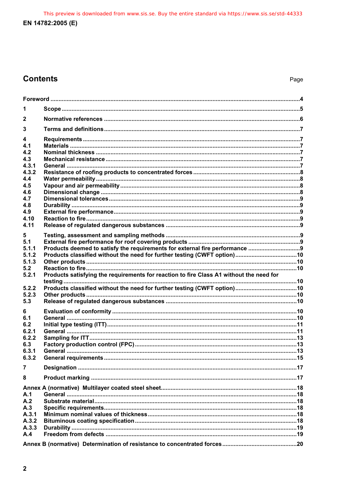This preview is downloaded from www.sis.se. Buy the entire standard via https://www.sis.se/std-44333 EN 14782:2005 (E)

# **Contents**

| 2                                                          |                                                                                         |  |  |  |
|------------------------------------------------------------|-----------------------------------------------------------------------------------------|--|--|--|
| 3                                                          |                                                                                         |  |  |  |
| 4<br>4.1<br>4.2<br>4.3<br>4.3.1<br>4.3.2                   |                                                                                         |  |  |  |
| 4.4<br>4.5<br>4.6<br>4.7<br>4.8<br>4.9<br>4.10<br>4.11     |                                                                                         |  |  |  |
| 5<br>5.1<br>5.1.1<br>5.1.2<br>5.1.3<br>5.2                 |                                                                                         |  |  |  |
| 5.2.1<br>5.2.2<br>5.2.3<br>5.3                             | Products satisfying the requirements for reaction to fire Class A1 without the need for |  |  |  |
| 6<br>6.1<br>6.2<br>6.2.1<br>6.2.2<br>6.3<br>6.3.1<br>6.3.2 |                                                                                         |  |  |  |
| 7                                                          |                                                                                         |  |  |  |
| 8                                                          |                                                                                         |  |  |  |
| A.1<br>A.2<br>A.3<br>A.3.1<br>A.3.2<br>A.3.3<br>A.4        |                                                                                         |  |  |  |
|                                                            |                                                                                         |  |  |  |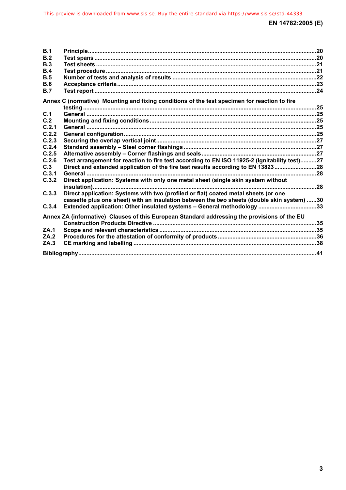| B.1   |                                                                                              |  |
|-------|----------------------------------------------------------------------------------------------|--|
| B.2   |                                                                                              |  |
| B.3   |                                                                                              |  |
| B.4   |                                                                                              |  |
| B.5   |                                                                                              |  |
| B.6   |                                                                                              |  |
| B.7   |                                                                                              |  |
|       |                                                                                              |  |
|       | Annex C (normative) Mounting and fixing conditions of the test specimen for reaction to fire |  |
| C.1   |                                                                                              |  |
| C.2   |                                                                                              |  |
| C.2.1 |                                                                                              |  |
| C.2.2 |                                                                                              |  |
| C.2.3 |                                                                                              |  |
| C.2.4 |                                                                                              |  |
| C.2.5 |                                                                                              |  |
| C.2.6 | Test arrangement for reaction to fire test according to EN ISO 11925-2 (Ignitability test)27 |  |
| C.3   | Direct and extended application of the fire test results according to EN 1382328             |  |
| C.3.1 |                                                                                              |  |
| C.3.2 | Direct application: Systems with only one metal sheet (single skin system without            |  |
|       |                                                                                              |  |
| C.3.3 | Direct application: Systems with two (profiled or flat) coated metal sheets (or one          |  |
|       | cassette plus one sheet) with an insulation between the two sheets (double skin system) 30   |  |
| C.3.4 | Extended application: Other insulated systems - General methodology 33                       |  |
|       |                                                                                              |  |
|       | Annex ZA (informative) Clauses of this European Standard addressing the provisions of the EU |  |
|       |                                                                                              |  |
| ZA.1  |                                                                                              |  |
| ZA.2  |                                                                                              |  |
| ZA.3  |                                                                                              |  |
|       |                                                                                              |  |
|       |                                                                                              |  |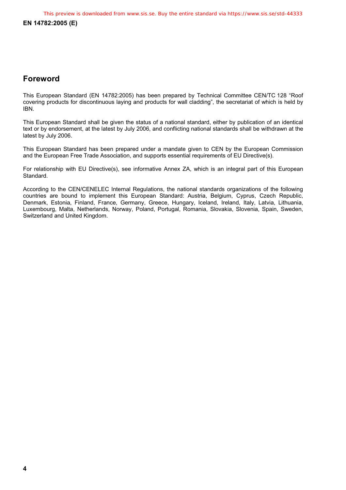# **Foreword**

This European Standard (EN 14782:2005) has been prepared by Technical Committee CEN/TC 128 "Roof covering products for discontinuous laying and products for wall cladding", the secretariat of which is held by IBN.

This European Standard shall be given the status of a national standard, either by publication of an identical text or by endorsement, at the latest by July 2006, and conflicting national standards shall be withdrawn at the latest by July 2006.

This European Standard has been prepared under a mandate given to CEN by the European Commission and the European Free Trade Association, and supports essential requirements of EU Directive(s).

For relationship with EU Directive(s), see informative Annex ZA, which is an integral part of this European Standard.

According to the CEN/CENELEC Internal Regulations, the national standards organizations of the following countries are bound to implement this European Standard: Austria, Belgium, Cyprus, Czech Republic, Denmark, Estonia, Finland, France, Germany, Greece, Hungary, Iceland, Ireland, Italy, Latvia, Lithuania, Luxembourg, Malta, Netherlands, Norway, Poland, Portugal, Romania, Slovakia, Slovenia, Spain, Sweden, Switzerland and United Kingdom.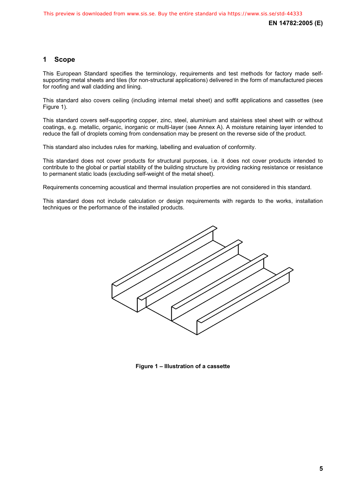# **1 Scope**

This European Standard specifies the terminology, requirements and test methods for factory made selfsupporting metal sheets and tiles (for non-structural applications) delivered in the form of manufactured pieces for roofing and wall cladding and lining.

This standard also covers ceiling (including internal metal sheet) and soffit applications and cassettes (see Figure 1).

This standard covers self-supporting copper, zinc, steel, aluminium and stainless steel sheet with or without coatings, e.g. metallic, organic, inorganic or multi-layer (see Annex A). A moisture retaining layer intended to reduce the fall of droplets coming from condensation may be present on the reverse side of the product.

This standard also includes rules for marking, labelling and evaluation of conformity.

This standard does not cover products for structural purposes, i.e. it does not cover products intended to contribute to the global or partial stability of the building structure by providing racking resistance or resistance to permanent static loads (excluding self-weight of the metal sheet).

Requirements concerning acoustical and thermal insulation properties are not considered in this standard.

This standard does not include calculation or design requirements with regards to the works, installation techniques or the performance of the installed products.



**Figure 1 – Illustration of a cassette**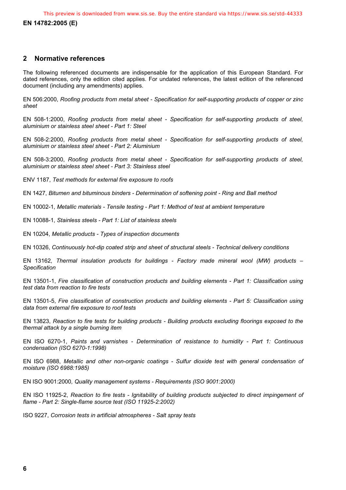**EN 14782:2005 (E)** 

## **2 Normative references**

The following referenced documents are indispensable for the application of this European Standard. For dated references, only the edition cited applies. For undated references, the latest edition of the referenced document (including any amendments) applies.

EN 506:2000, *Roofing products from metal sheet - Specification for self-supporting products of copper or zinc sheet* 

EN 508-1:2000, *Roofing products from metal sheet - Specification for self-supporting products of steel, aluminium or stainless steel sheet - Part 1: Steel* 

EN 508-2:2000, *Roofing products from metal sheet - Specification for self-supporting products of steel, aluminium or stainless steel sheet - Part 2: Aluminium* 

EN 508-3:2000, *Roofing products from metal sheet - Specification for self-supporting products of steel, aluminium or stainless steel sheet - Part 3: Stainless steel* 

ENV 1187, *Test methods for external fire exposure to roofs* 

EN 1427, *Bitumen and bituminous binders - Determination of softening point - Ring and Ball method*

EN 10002-1, *Metallic materials - Tensile testing - Part 1: Method of test at ambient temperature*

EN 10088-1, *Stainless steels - Part 1: List of stainless steels* 

EN 10204, *Metallic products - Types of inspection documents*

EN 10326, *Continuously hot-dip coated strip and sheet of structural steels - Technical delivery conditions*

EN 13162, *Thermal insulation products for buildings - Factory made mineral wool (MW) products – Specification*

EN 13501-1, *Fire classification of construction products and building elements - Part 1: Classification using test data from reaction to fire tests* 

EN 13501-5, *Fire classification of construction products and building elements - Part 5: Classification using data from external fire exposure to roof tests*

EN 13823, *Reaction to fire tests for building products - Building products excluding floorings exposed to the thermal attack by a single burning item* 

EN ISO 6270-1, *Paints and varnishes - Determination of resistance to humidity - Part 1: Continuous condensation (ISO 6270-1:1998)* 

EN ISO 6988, *Metallic and other non-organic coatings - Sulfur dioxide test with general condensation of moisture (ISO 6988:1985)* 

EN ISO 9001:2000*, Quality management systems - Requirements (ISO 9001:2000)* 

EN ISO 11925-2, *Reaction to fire tests - Ignitability of building products subjected to direct impingement of flame - Part 2: Single-flame source test (ISO 11925-2:2002)* 

ISO 9227, *Corrosion tests in artificial atmospheres - Salt spray tests*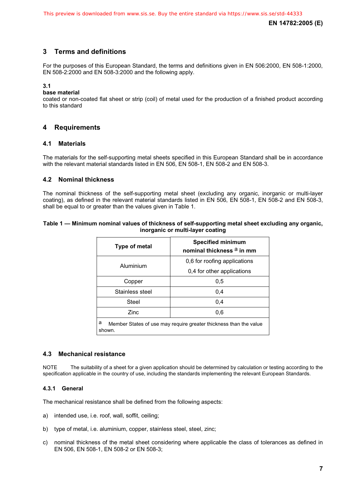# **3 Terms and definitions**

For the purposes of this European Standard, the terms and definitions given in EN 506:2000, EN 508-1:2000, EN 508-2:2000 and EN 508-3:2000 and the following apply.

#### **3.1**

#### **base material**

coated or non-coated flat sheet or strip (coil) of metal used for the production of a finished product according to this standard

# **4 Requirements**

#### **4.1 Materials**

The materials for the self-supporting metal sheets specified in this European Standard shall be in accordance with the relevant material standards listed in EN 506, EN 508-1, EN 508-2 and EN 508-3.

#### **4.2 Nominal thickness**

The nominal thickness of the self-supporting metal sheet (excluding any organic, inorganic or multi-layer coating), as defined in the relevant material standards listed in EN 506, EN 508-1, EN 508-2 and EN 508-3, shall be equal to or greater than the values given in Table 1.

#### **Table 1 — Minimum nominal values of thickness of self-supporting metal sheet excluding any organic, inorganic or multi-layer coating**

| Type of metal                                                                    | <b>Specified minimum</b><br>nominal thickness <sup>a</sup> in mm |  |  |  |
|----------------------------------------------------------------------------------|------------------------------------------------------------------|--|--|--|
| Aluminium                                                                        | 0,6 for roofing applications                                     |  |  |  |
|                                                                                  | 0,4 for other applications                                       |  |  |  |
| Copper                                                                           | 0,5                                                              |  |  |  |
| Stainless steel                                                                  | 0.4                                                              |  |  |  |
| Steel                                                                            | 0,4                                                              |  |  |  |
| Zinc                                                                             | 0,6                                                              |  |  |  |
| a<br>Member States of use may require greater thickness than the value<br>shown. |                                                                  |  |  |  |

#### **4.3 Mechanical resistance**

NOTE The suitability of a sheet for a given application should be determined by calculation or testing according to the specification applicable in the country of use, including the standards implementing the relevant European Standards.

#### **4.3.1 General**

The mechanical resistance shall be defined from the following aspects:

- a) intended use, i.e. roof, wall, soffit, ceiling;
- b) type of metal, i.e. aluminium, copper, stainless steel, steel, zinc;
- c) nominal thickness of the metal sheet considering where applicable the class of tolerances as defined in EN 506, EN 508-1, EN 508-2 or EN 508-3;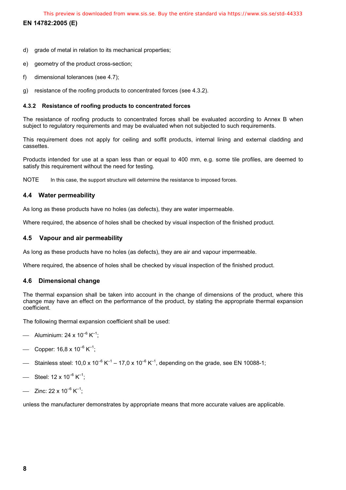**EN 14782:2005 (E)** 

- d) grade of metal in relation to its mechanical properties;
- e) geometry of the product cross-section;
- f) dimensional tolerances (see 4.7);
- g) resistance of the roofing products to concentrated forces (see 4.3.2).

#### **4.3.2 Resistance of roofing products to concentrated forces**

The resistance of roofing products to concentrated forces shall be evaluated according to Annex B when subject to regulatory requirements and may be evaluated when not subjected to such requirements.

This requirement does not apply for ceiling and soffit products, internal lining and external cladding and cassettes.

Products intended for use at a span less than or equal to 400 mm, e.g. some tile profiles, are deemed to satisfy this requirement without the need for testing.

NOTE In this case, the support structure will determine the resistance to imposed forces.

# **4.4 Water permeability**

As long as these products have no holes (as defects), they are water impermeable.

Where required, the absence of holes shall be checked by visual inspection of the finished product.

# **4.5 Vapour and air permeability**

As long as these products have no holes (as defects), they are air and vapour impermeable.

Where required, the absence of holes shall be checked by visual inspection of the finished product.

# **4.6 Dimensional change**

The thermal expansion shall be taken into account in the change of dimensions of the product, where this change may have an effect on the performance of the product, by stating the appropriate thermal expansion coefficient.

The following thermal expansion coefficient shall be used:

- Aluminium: 24 x 10<sup>-6</sup> K<sup>-1</sup>:
- Copper:  $16.8 \times 10^{-6}$  K<sup>-1</sup>:
- Stainless steel:  $10.0 \times 10^{-6}$  K<sup>-1</sup>  $17.0 \times 10^{-6}$  K<sup>-1</sup>, depending on the grade, see EN 10088-1;
- Steel:  $12 \times 10^{-6}$  K<sup>-1</sup>:
- Zinc: 22 x  $10^{-6}$  K<sup>-1</sup>:

unless the manufacturer demonstrates by appropriate means that more accurate values are applicable.